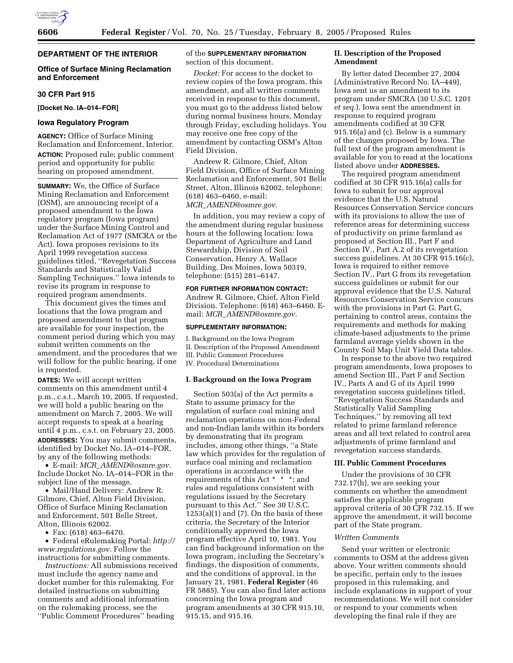

# **DEPARTMENT OF THE INTERIOR**

# **Office of Surface Mining Reclamation and Enforcement**

#### **30 CFR Part 915**

**[Docket No. IA–014–FOR]** 

# **Iowa Regulatory Program**

**AGENCY:** Office of Surface Mining Reclamation and Enforcement, Interior. **ACTION:** Proposed rule; public comment period and opportunity for public hearing on proposed amendment.

**SUMMARY:** We, the Office of Surface Mining Reclamation and Enforcement (OSM), are announcing receipt of a proposed amendment to the Iowa regulatory program (Iowa program) under the Surface Mining Control and Reclamation Act of 1977 (SMCRA or the Act). Iowa proposes revisions to its April 1999 revegetation success guidelines titled, ''Revegetation Success Standards and Statistically Valid Sampling Techniques.'' Iowa intends to revise its program in response to required program amendments.

This document gives the times and locations that the Iowa program and proposed amendment to that program are available for your inspection, the comment period during which you may submit written comments on the amendment, and the procedures that we will follow for the public hearing, if one is requested.

**DATES:** We will accept written comments on this amendment until 4 p.m., c.s.t., March 10, 2005. If requested, we will hold a public hearing on the amendment on March 7, 2005. We will accept requests to speak at a hearing until 4 p.m., c.s.t. on February 23, 2005. **ADDRESSES:** You may submit comments, identified by Docket No. IA–014–FOR, by any of the following methods:

• E-mail: *MCR*\_*AMEND@osmre.gov.* Include Docket No. IA–014–FOR in the subject line of the message.

• Mail/Hand Delivery: Andrew R. Gilmore, Chief, Alton Field Division, Office of Surface Mining Reclamation and Enforcement, 501 Belle Street, Alton, Illinois 62002.

• Fax: (618) 463–6470.

• Federal eRulemaking Portal: *http:// www.regulations.gov.* Follow the instructions for submitting comments.

*Instructions:* All submissions received must include the agency name and docket number for this rulemaking. For detailed instructions on submitting comments and additional information on the rulemaking process, see the ''Public Comment Procedures'' heading

of the **SUPPLEMENTARY INFORMATION** section of this document.

*Docket:* For access to the docket to review copies of the Iowa program, this amendment, and all written comments received in response to this document, you must go to the address listed below during normal business hours, Monday through Friday, excluding holidays. You may receive one free copy of the amendment by contacting OSM's Alton Field Division.

Andrew R. Gilmore, Chief, Alton Field Division, Office of Surface Mining Reclamation and Enforcement, 501 Belle Street, Alton, Illinois 62002, telephone: (618) 463–6460, e-mail: *MCR*\_*AMEND@osmre.gov.*

In addition, you may review a copy of the amendment during regular business hours at the following location: Iowa Department of Agriculture and Land Stewardship, Division of Soil Conservation, Henry A. Wallace Building, Des Moines, Iowa 50319, telephone: (515) 281–6147.

**FOR FURTHER INFORMATION CONTACT:** Andrew R. Gilmore, Chief, Alton Field Division. Telephone: (618) 463–6460. Email: *MCR*\_*AMEND@osmre.gov.*

### **SUPPLEMENTARY INFORMATION:**

I. Background on the Iowa Program II. Description of the Proposed Amendment III. Public Comment Procedures IV. Procedural Determinations

### **I. Background on the Iowa Program**

Section 503(a) of the Act permits a State to assume primacy for the regulation of surface coal mining and reclamation operations on non-Federal and non-Indian lands within its borders by demonstrating that its program includes, among other things, ''a State law which provides for the regulation of surface coal mining and reclamation operations in accordance with the requirements of this Act \* \* \*; and rules and regulations consistent with regulations issued by the Secretary pursuant to this Act.'' See 30 U.S.C. 1253(a)(1) and (7). On the basis of these criteria, the Secretary of the Interior conditionally approved the Iowa program effective April 10, 1981. You can find background information on the Iowa program, including the Secretary's findings, the disposition of comments, and the conditions of approval, in the January 21, 1981, **Federal Register** (46 FR 5885). You can also find later actions concerning the Iowa program and program amendments at 30 CFR 915.10, 915.15, and 915.16.

# **II. Description of the Proposed Amendment**

By letter dated December 27, 2004 (Administrative Record No. IA–449), Iowa sent us an amendment to its program under SMCRA (30 U.S.C. 1201 *et seq.*). Iowa sent the amendment in response to required program amendments codified at 30 CFR 915.16(a) and (c). Below is a summary of the changes proposed by Iowa. The full text of the program amendment is available for you to read at the locations listed above under **ADDRESSES.**

The required program amendment codified at 30 CFR 915.16(a) calls for Iowa to submit for our approval evidence that the U.S. Natural Resources Conservation Service concurs with its provisions to allow the use of reference areas for determining success of productivity on prime farmland as proposed at Section III., Part F and Section IV., Part A.2 of its revegetation success guidelines. At 30 CFR 915.16(c), Iowa is required to either remove Section IV., Part G from its revegetation success guidelines or submit for our approval evidence that the U.S. Natural Resources Conservation Service concurs with the provisions in Part G. Part G, pertaining to control areas, contains the requirements and methods for making climate-based adjustments to the prime farmland average yields shown in the County Soil Map Unit Yield Data tables.

In response to the above two required program amendments, Iowa proposes to amend Section III., Part F and Section IV., Parts A and G of its April 1999 revegetation success guidelines titled, ''Revegetation Success Standards and Statistically Valid Sampling Techniques,'' by removing all text related to prime farmland reference areas and all text related to control area adjustments of prime farmland and revegetation success standards.

### **III. Public Comment Procedures**

Under the provisions of 30 CFR 732.17(h), we are seeking your comments on whether the amendment satisfies the applicable program approval criteria of 30 CFR 732.15. If we approve the amendment, it will become part of the State program.

# *Written Comments*

Send your written or electronic comments to OSM at the address given above. Your written comments should be specific, pertain only to the issues proposed in this rulemaking, and include explanations in support of your recommendations. We will not consider or respond to your comments when developing the final rule if they are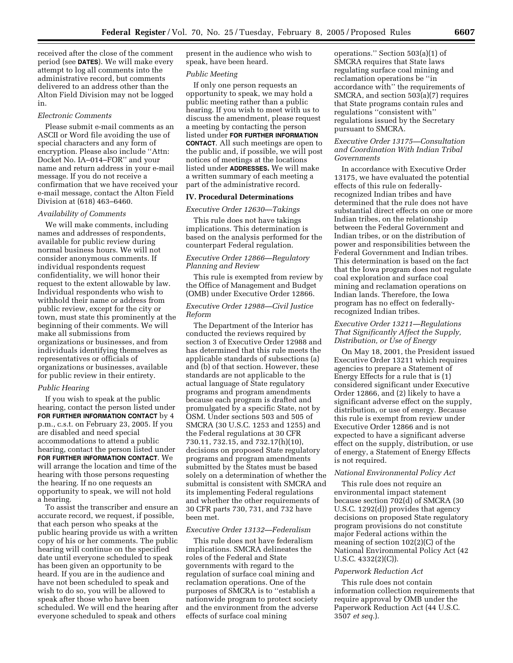received after the close of the comment period (see **DATES**). We will make every attempt to log all comments into the administrative record, but comments delivered to an address other than the Alton Field Division may not be logged in.

# *Electronic Comments*

Please submit e-mail comments as an ASCII or Word file avoiding the use of special characters and any form of encryption. Please also include ''Attn: Docket No. IA–014–FOR'' and your name and return address in your e-mail message. If you do not receive a confirmation that we have received your e-mail message, contact the Alton Field Division at (618) 463–6460.

### *Availability of Comments*

We will make comments, including names and addresses of respondents, available for public review during normal business hours. We will not consider anonymous comments. If individual respondents request confidentiality, we will honor their request to the extent allowable by law. Individual respondents who wish to withhold their name or address from public review, except for the city or town, must state this prominently at the beginning of their comments. We will make all submissions from organizations or businesses, and from individuals identifying themselves as representatives or officials of organizations or businesses, available for public review in their entirety.

#### *Public Hearing*

If you wish to speak at the public hearing, contact the person listed under **FOR FURTHER INFORMATION CONTACT** by 4 p.m., c.s.t. on February 23, 2005. If you are disabled and need special accommodations to attend a public hearing, contact the person listed under **FOR FURTHER INFORMATION CONTACT**. We will arrange the location and time of the hearing with those persons requesting the hearing. If no one requests an opportunity to speak, we will not hold a hearing.

To assist the transcriber and ensure an accurate record, we request, if possible, that each person who speaks at the public hearing provide us with a written copy of his or her comments. The public hearing will continue on the specified date until everyone scheduled to speak has been given an opportunity to be heard. If you are in the audience and have not been scheduled to speak and wish to do so, you will be allowed to speak after those who have been scheduled. We will end the hearing after everyone scheduled to speak and others

present in the audience who wish to speak, have been heard.

#### *Public Meeting*

If only one person requests an opportunity to speak, we may hold a public meeting rather than a public hearing. If you wish to meet with us to discuss the amendment, please request a meeting by contacting the person listed under **FOR FURTHER INFORMATION CONTACT**. All such meetings are open to the public and, if possible, we will post notices of meetings at the locations listed under **ADDRESSES.** We will make a written summary of each meeting a part of the administrative record.

# **IV. Procedural Determinations**

#### *Executive Order 12630—Takings*

This rule does not have takings implications. This determination is based on the analysis performed for the counterpart Federal regulation.

### *Executive Order 12866—Regulatory Planning and Review*

This rule is exempted from review by the Office of Management and Budget (OMB) under Executive Order 12866.

## *Executive Order 12988—Civil Justice Reform*

The Department of the Interior has conducted the reviews required by section 3 of Executive Order 12988 and has determined that this rule meets the applicable standards of subsections (a) and (b) of that section. However, these standards are not applicable to the actual language of State regulatory programs and program amendments because each program is drafted and promulgated by a specific State, not by OSM. Under sections 503 and 505 of SMCRA (30 U.S.C. 1253 and 1255) and the Federal regulations at 30 CFR 730.11, 732.15, and 732.17(h)(10), decisions on proposed State regulatory programs and program amendments submitted by the States must be based solely on a determination of whether the submittal is consistent with SMCRA and its implementing Federal regulations and whether the other requirements of 30 CFR parts 730, 731, and 732 have been met.

### *Executive Order 13132—Federalism*

This rule does not have federalism implications. SMCRA delineates the roles of the Federal and State governments with regard to the regulation of surface coal mining and reclamation operations. One of the purposes of SMCRA is to ''establish a nationwide program to protect society and the environment from the adverse effects of surface coal mining

operations.'' Section 503(a)(1) of SMCRA requires that State laws regulating surface coal mining and reclamation operations be ''in accordance with'' the requirements of SMCRA, and section 503(a)(7) requires that State programs contain rules and regulations ''consistent with'' regulations issued by the Secretary pursuant to SMCRA.

# *Executive Order 13175—Consultation and Coordination With Indian Tribal Governments*

In accordance with Executive Order 13175, we have evaluated the potential effects of this rule on federallyrecognized Indian tribes and have determined that the rule does not have substantial direct effects on one or more Indian tribes, on the relationship between the Federal Government and Indian tribes, or on the distribution of power and responsibilities between the Federal Government and Indian tribes. This determination is based on the fact that the Iowa program does not regulate coal exploration and surface coal mining and reclamation operations on Indian lands. Therefore, the Iowa program has no effect on federallyrecognized Indian tribes.

### *Executive Order 13211—Regulations That Significantly Affect the Supply, Distribution, or Use of Energy*

On May 18, 2001, the President issued Executive Order 13211 which requires agencies to prepare a Statement of Energy Effects for a rule that is (1) considered significant under Executive Order 12866, and (2) likely to have a significant adverse effect on the supply, distribution, or use of energy. Because this rule is exempt from review under Executive Order 12866 and is not expected to have a significant adverse effect on the supply, distribution, or use of energy, a Statement of Energy Effects is not required.

### *National Environmental Policy Act*

This rule does not require an environmental impact statement because section 702(d) of SMCRA (30 U.S.C. 1292(d)) provides that agency decisions on proposed State regulatory program provisions do not constitute major Federal actions within the meaning of section 102(2)(C) of the National Environmental Policy Act (42 U.S.C. 4332(2)(C)).

#### *Paperwork Reduction Act*

This rule does not contain information collection requirements that require approval by OMB under the Paperwork Reduction Act (44 U.S.C. 3507 *et seq.*).